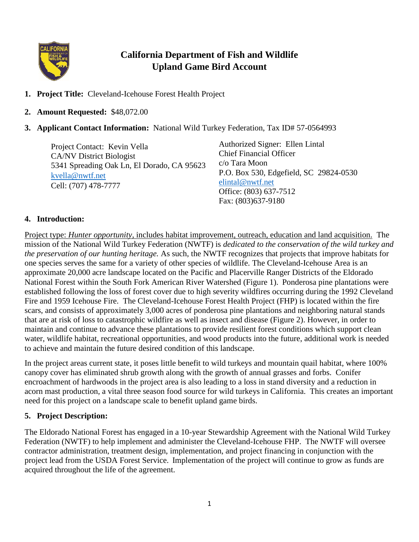

# **California Department of Fish and Wildlife Upland Game Bird Account**

- **1. Project Title:** Cleveland-Icehouse Forest Health Project
- **2. Amount Requested:** \$48,072.00
- **3. Applicant Contact Information:** National Wild Turkey Federation, Tax ID# 57-0564993

Project Contact: Kevin Vella CA/NV District Biologist 5341 Spreading Oak Ln, El Dorado, CA 95623 [kvella@nwtf.net](mailto:kvella@nwtf.net) Cell: (707) 478-7777

Authorized Signer: Ellen Lintal Chief Financial Officer c/o Tara Moon P.O. Box 530, Edgefield, SC 29824-0530 [elintal@nwtf.net](mailto:elintal@nwtf.net) Office: (803) 637-7512 Fax: (803)637-9180

### **4. Introduction:**

Project type: *Hunter opportunity,* includes habitat improvement, outreach, education and land acquisition. The mission of the National Wild Turkey Federation (NWTF) is *dedicated to the conservation of the wild turkey and the preservation of our hunting heritage.* As such, the NWTF recognizes that projects that improve habitats for one species serves the same for a variety of other species of wildlife. The Cleveland-Icehouse Area is an approximate 20,000 acre landscape located on the Pacific and Placerville Ranger Districts of the Eldorado National Forest within the South Fork American River Watershed (Figure 1). Ponderosa pine plantations were established following the loss of forest cover due to high severity wildfires occurring during the 1992 Cleveland Fire and 1959 Icehouse Fire. The Cleveland-Icehouse Forest Health Project (FHP) is located within the fire scars, and consists of approximately 3,000 acres of ponderosa pine plantations and neighboring natural stands that are at risk of loss to catastrophic wildfire as well as insect and disease (Figure 2). However, in order to maintain and continue to advance these plantations to provide resilient forest conditions which support clean water, wildlife habitat, recreational opportunities, and wood products into the future, additional work is needed to achieve and maintain the future desired condition of this landscape.

In the project areas current state, it poses little benefit to wild turkeys and mountain quail habitat, where 100% canopy cover has eliminated shrub growth along with the growth of annual grasses and forbs. Conifer encroachment of hardwoods in the project area is also leading to a loss in stand diversity and a reduction in acorn mast production, a vital three season food source for wild turkeys in California. This creates an important need for this project on a landscape scale to benefit upland game birds.

#### **5. Project Description:**

The Eldorado National Forest has engaged in a 10-year Stewardship Agreement with the National Wild Turkey Federation (NWTF) to help implement and administer the Cleveland-Icehouse FHP. The NWTF will oversee contractor administration, treatment design, implementation, and project financing in conjunction with the project lead from the USDA Forest Service. Implementation of the project will continue to grow as funds are acquired throughout the life of the agreement.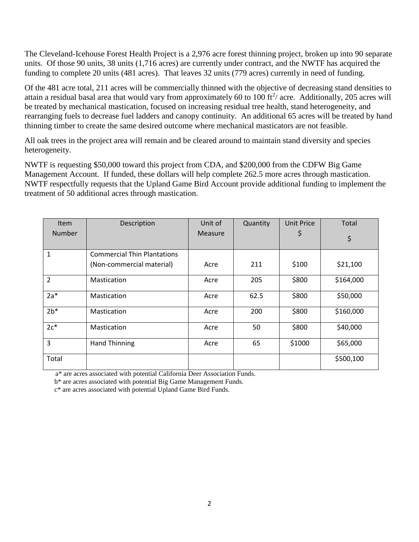The Cleveland-Icehouse Forest Health Project is a 2,976 acre forest thinning project, broken up into 90 separate units. Of those 90 units, 38 units (1,716 acres) are currently under contract, and the NWTF has acquired the funding to complete 20 units (481 acres). That leaves 32 units (779 acres) currently in need of funding.

Of the 481 acre total, 211 acres will be commercially thinned with the objective of decreasing stand densities to attain a residual basal area that would vary from approximately 60 to 100 ft $^2/$  acre. Additionally, 205 acres will be treated by mechanical mastication, focused on increasing residual tree health, stand heterogeneity, and rearranging fuels to decrease fuel ladders and canopy continuity. An additional 65 acres will be treated by hand thinning timber to create the same desired outcome where mechanical masticators are not feasible.

All oak trees in the project area will remain and be cleared around to maintain stand diversity and species heterogeneity.

NWTF is requesting \$50,000 toward this project from CDA, and \$200,000 from the CDFW Big Game Management Account. If funded, these dollars will help complete 262.5 more acres through mastication. NWTF respectfully requests that the Upland Game Bird Account provide additional funding to implement the treatment of 50 additional acres through mastication.

| <b>Item</b>    | Description                        | Unit of        | Quantity | <b>Unit Price</b> | Total     |
|----------------|------------------------------------|----------------|----------|-------------------|-----------|
| <b>Number</b>  |                                    | <b>Measure</b> |          | Ş                 | \$        |
|                |                                    |                |          |                   |           |
| $\mathbf{1}$   | <b>Commercial Thin Plantations</b> |                |          |                   |           |
|                | (Non-commercial material)          | Acre           | 211      | \$100             | \$21,100  |
| $\overline{2}$ | Mastication                        | Acre           | 205      | \$800             | \$164,000 |
| $2a*$          | <b>Mastication</b>                 | Acre           | 62.5     | \$800             | \$50,000  |
| $2b*$          | Mastication                        | Acre           | 200      | \$800             | \$160,000 |
| $2c*$          | Mastication                        | Acre           | 50       | \$800             | \$40,000  |
| $\overline{3}$ | <b>Hand Thinning</b>               | Acre           | 65       | \$1000            | \$65,000  |
| Total          |                                    |                |          |                   | \$500,100 |

a\* are acres associated with potential California Deer Association Funds.

b\* are acres associated with potential Big Game Management Funds.

c\* are acres associated with potential Upland Game Bird Funds.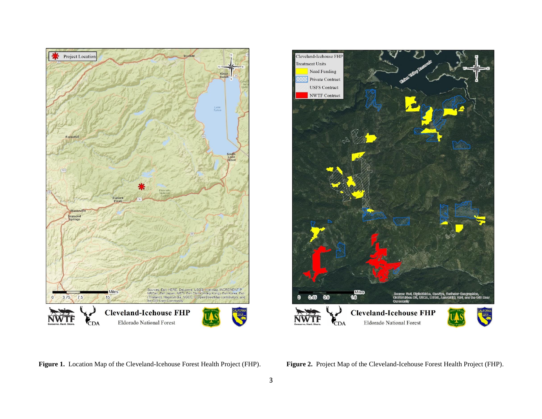



**Figure 1.** Location Map of the Cleveland-Icehouse Forest Health Project (FHP). **Figure 2.** Project Map of the Cleveland-Icehouse Forest Health Project (FHP).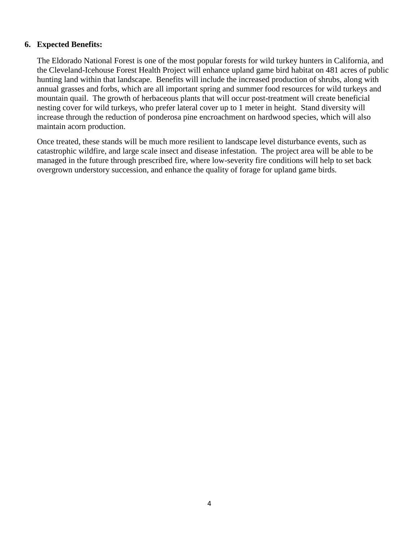#### **6. Expected Benefits:**

The Eldorado National Forest is one of the most popular forests for wild turkey hunters in California, and the Cleveland-Icehouse Forest Health Project will enhance upland game bird habitat on 481 acres of public hunting land within that landscape. Benefits will include the increased production of shrubs, along with annual grasses and forbs, which are all important spring and summer food resources for wild turkeys and mountain quail. The growth of herbaceous plants that will occur post-treatment will create beneficial nesting cover for wild turkeys, who prefer lateral cover up to 1 meter in height. Stand diversity will increase through the reduction of ponderosa pine encroachment on hardwood species, which will also maintain acorn production.

Once treated, these stands will be much more resilient to landscape level disturbance events, such as catastrophic wildfire, and large scale insect and disease infestation. The project area will be able to be managed in the future through prescribed fire, where low-severity fire conditions will help to set back overgrown understory succession, and enhance the quality of forage for upland game birds.